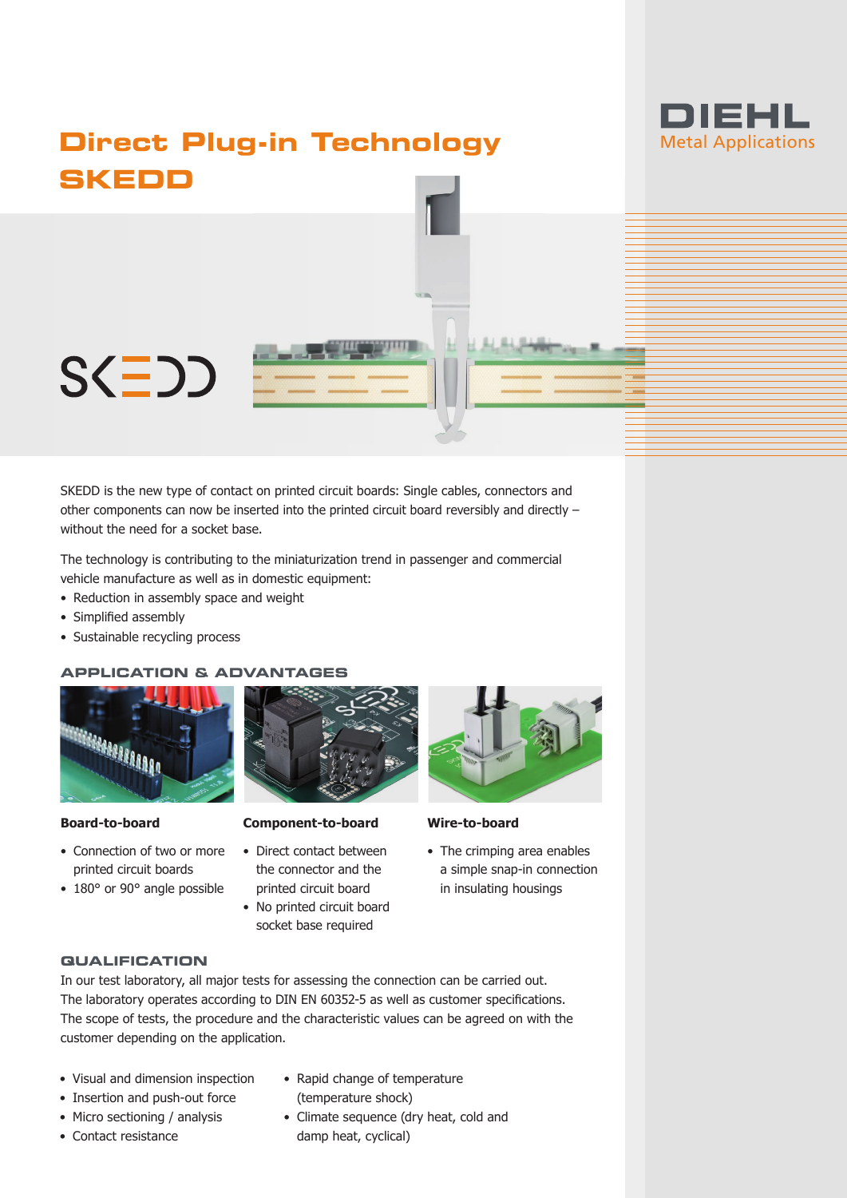

# **Direct Plug-in Technology SKEDD**



SKEDD is the new type of contact on printed circuit boards: Single cables, connectors and other components can now be inserted into the printed circuit board reversibly and directly – without the need for a socket base.

The technology is contributing to the miniaturization trend in passenger and commercial vehicle manufacture as well as in domestic equipment:

- Reduction in assembly space and weight
- Simplified assembly
- Sustainable recycling process

#### **APPLICATION & ADVANTAGES**



#### **Board-to-board**

- Connection of two or more printed circuit boards
- 180° or 90° angle possible



## **Component-to-board**

- Direct contact between the connector and the printed circuit board
- No printed circuit board socket base required



#### **Wire-to-board**

• The crimping area enables a simple snap-in connection in insulating housings

#### **QUALIFICATION**

In our test laboratory, all major tests for assessing the connection can be carried out. The laboratory operates according to DIN EN 60352-5 as well as customer specifications. The scope of tests, the procedure and the characteristic values can be agreed on with the customer depending on the application.

- Visual and dimension inspection
- Insertion and push-out force
- Micro sectioning / analysis
- Contact resistance
- Rapid change of temperature (temperature shock)
- Climate sequence (dry heat, cold and damp heat, cyclical)